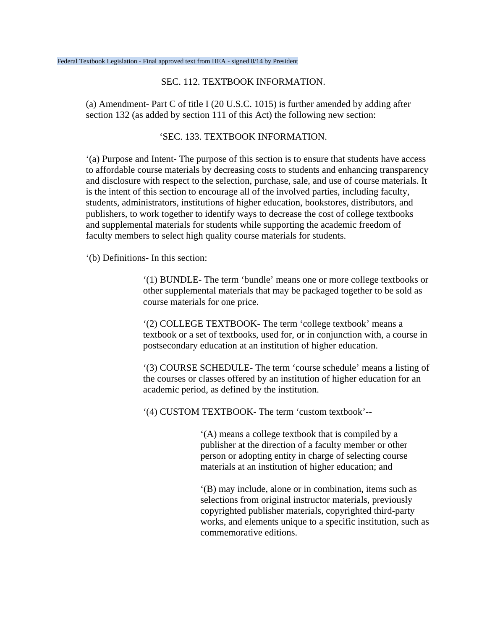## SEC. 112. TEXTBOOK INFORMATION.

(a) Amendment- Part C of title I (20 U.S.C. 1015) is further amended by adding after section 132 (as added by section 111 of this Act) the following new section:

## 'SEC. 133. TEXTBOOK INFORMATION.

'(a) Purpose and Intent- The purpose of this section is to ensure that students have access to affordable course materials by decreasing costs to students and enhancing transparency and disclosure with respect to the selection, purchase, sale, and use of course materials. It is the intent of this section to encourage all of the involved parties, including faculty, students, administrators, institutions of higher education, bookstores, distributors, and publishers, to work together to identify ways to decrease the cost of college textbooks and supplemental materials for students while supporting the academic freedom of faculty members to select high quality course materials for students.

'(b) Definitions- In this section:

'(1) BUNDLE- The term 'bundle' means one or more college textbooks or other supplemental materials that may be packaged together to be sold as course materials for one price.

'(2) COLLEGE TEXTBOOK- The term 'college textbook' means a textbook or a set of textbooks, used for, or in conjunction with, a course in postsecondary education at an institution of higher education.

'(3) COURSE SCHEDULE- The term 'course schedule' means a listing of the courses or classes offered by an institution of higher education for an academic period, as defined by the institution.

'(4) CUSTOM TEXTBOOK- The term 'custom textbook'--

'(A) means a college textbook that is compiled by a publisher at the direction of a faculty member or other person or adopting entity in charge of selecting course materials at an institution of higher education; and

'(B) may include, alone or in combination, items such as selections from original instructor materials, previously copyrighted publisher materials, copyrighted third-party works, and elements unique to a specific institution, such as commemorative editions.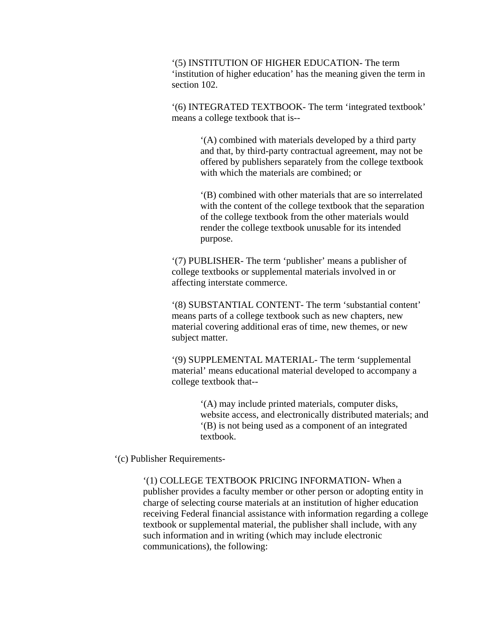'(5) INSTITUTION OF HIGHER EDUCATION- The term 'institution of higher education' has the meaning given the term in section 102.

'(6) INTEGRATED TEXTBOOK- The term 'integrated textbook' means a college textbook that is--

> '(A) combined with materials developed by a third party and that, by third-party contractual agreement, may not be offered by publishers separately from the college textbook with which the materials are combined; or

> '(B) combined with other materials that are so interrelated with the content of the college textbook that the separation of the college textbook from the other materials would render the college textbook unusable for its intended purpose.

'(7) PUBLISHER- The term 'publisher' means a publisher of college textbooks or supplemental materials involved in or affecting interstate commerce.

'(8) SUBSTANTIAL CONTENT- The term 'substantial content' means parts of a college textbook such as new chapters, new material covering additional eras of time, new themes, or new subject matter.

'(9) SUPPLEMENTAL MATERIAL- The term 'supplemental material' means educational material developed to accompany a college textbook that--

> '(A) may include printed materials, computer disks, website access, and electronically distributed materials; and '(B) is not being used as a component of an integrated textbook.

'(c) Publisher Requirements-

'(1) COLLEGE TEXTBOOK PRICING INFORMATION- When a publisher provides a faculty member or other person or adopting entity in charge of selecting course materials at an institution of higher education receiving Federal financial assistance with information regarding a college textbook or supplemental material, the publisher shall include, with any such information and in writing (which may include electronic communications), the following: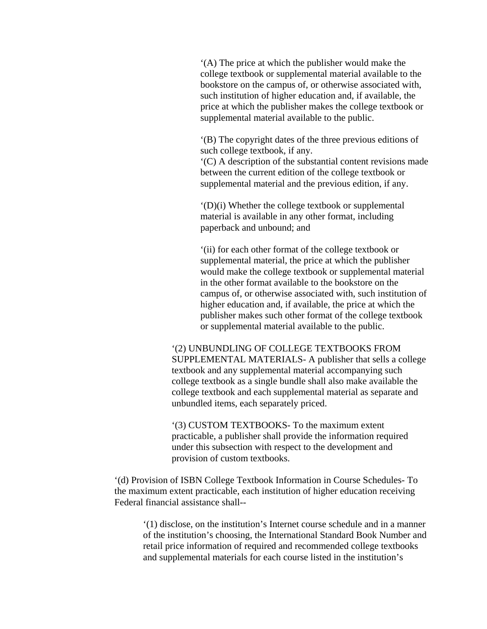'(A) The price at which the publisher would make the college textbook or supplemental material available to the bookstore on the campus of, or otherwise associated with, such institution of higher education and, if available, the price at which the publisher makes the college textbook or supplemental material available to the public.

'(B) The copyright dates of the three previous editions of such college textbook, if any.

'(C) A description of the substantial content revisions made between the current edition of the college textbook or supplemental material and the previous edition, if any.

'(D)(i) Whether the college textbook or supplemental material is available in any other format, including paperback and unbound; and

'(ii) for each other format of the college textbook or supplemental material, the price at which the publisher would make the college textbook or supplemental material in the other format available to the bookstore on the campus of, or otherwise associated with, such institution of higher education and, if available, the price at which the publisher makes such other format of the college textbook or supplemental material available to the public.

'(2) UNBUNDLING OF COLLEGE TEXTBOOKS FROM SUPPLEMENTAL MATERIALS- A publisher that sells a college textbook and any supplemental material accompanying such college textbook as a single bundle shall also make available the college textbook and each supplemental material as separate and unbundled items, each separately priced.

'(3) CUSTOM TEXTBOOKS- To the maximum extent practicable, a publisher shall provide the information required under this subsection with respect to the development and provision of custom textbooks.

'(d) Provision of ISBN College Textbook Information in Course Schedules- To the maximum extent practicable, each institution of higher education receiving Federal financial assistance shall--

'(1) disclose, on the institution's Internet course schedule and in a manner of the institution's choosing, the International Standard Book Number and retail price information of required and recommended college textbooks and supplemental materials for each course listed in the institution's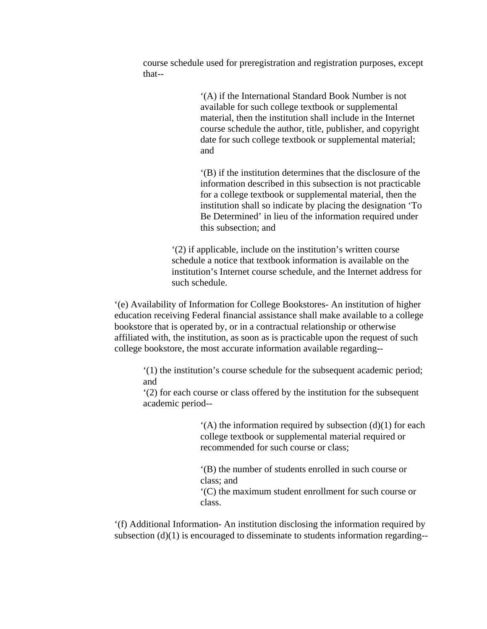course schedule used for preregistration and registration purposes, except that--

> '(A) if the International Standard Book Number is not available for such college textbook or supplemental material, then the institution shall include in the Internet course schedule the author, title, publisher, and copyright date for such college textbook or supplemental material; and

> '(B) if the institution determines that the disclosure of the information described in this subsection is not practicable for a college textbook or supplemental material, then the institution shall so indicate by placing the designation 'To Be Determined' in lieu of the information required under this subsection; and

'(2) if applicable, include on the institution's written course schedule a notice that textbook information is available on the institution's Internet course schedule, and the Internet address for such schedule.

'(e) Availability of Information for College Bookstores- An institution of higher education receiving Federal financial assistance shall make available to a college bookstore that is operated by, or in a contractual relationship or otherwise affiliated with, the institution, as soon as is practicable upon the request of such college bookstore, the most accurate information available regarding--

'(1) the institution's course schedule for the subsequent academic period; and

'(2) for each course or class offered by the institution for the subsequent academic period--

> $(A)$  the information required by subsection (d)(1) for each college textbook or supplemental material required or recommended for such course or class;

'(B) the number of students enrolled in such course or class; and

'(C) the maximum student enrollment for such course or class.

'(f) Additional Information- An institution disclosing the information required by subsection (d)(1) is encouraged to disseminate to students information regarding--